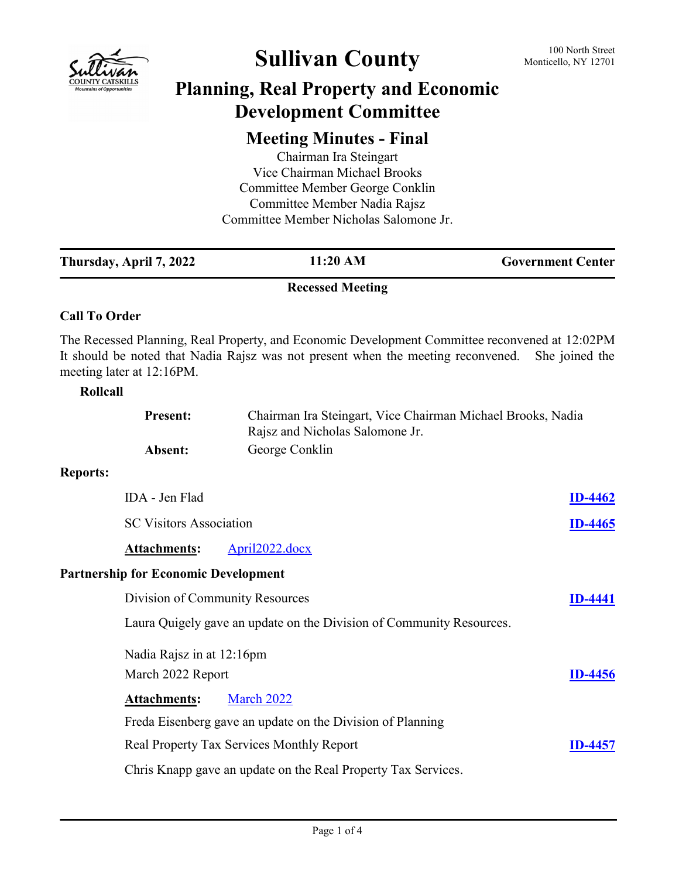

# Sullivan County 100 North Street

## **Planning, Real Property and Economic Development Committee**

### **Meeting Minutes - Final**

Chairman Ira Steingart Vice Chairman Michael Brooks Committee Member George Conklin Committee Member Nadia Rajsz Committee Member Nicholas Salomone Jr.

| Thursday, April 7, 2022                     | 11:20 AM                                                                                                                                                                           | <b>Government Center</b> |
|---------------------------------------------|------------------------------------------------------------------------------------------------------------------------------------------------------------------------------------|--------------------------|
|                                             | <b>Recessed Meeting</b>                                                                                                                                                            |                          |
| <b>Call To Order</b>                        |                                                                                                                                                                                    |                          |
| meeting later at 12:16PM.                   | The Recessed Planning, Real Property, and Economic Development Committee reconvened at 12:02PM<br>It should be noted that Nadia Rajsz was not present when the meeting reconvened. | She joined the           |
| Rollcall                                    |                                                                                                                                                                                    |                          |
| <b>Present:</b>                             | Chairman Ira Steingart, Vice Chairman Michael Brooks, Nadia<br>Rajsz and Nicholas Salomone Jr.                                                                                     |                          |
| Absent:                                     | George Conklin                                                                                                                                                                     |                          |
| <b>Reports:</b>                             |                                                                                                                                                                                    |                          |
| IDA - Jen Flad                              |                                                                                                                                                                                    | <b>ID-4462</b>           |
| <b>SC Visitors Association</b>              |                                                                                                                                                                                    | <b>ID-4465</b>           |
| <b>Attachments:</b>                         | April2022.docx                                                                                                                                                                     |                          |
| <b>Partnership for Economic Development</b> |                                                                                                                                                                                    |                          |
|                                             | Division of Community Resources                                                                                                                                                    | ID-4441                  |
|                                             | Laura Quigely gave an update on the Division of Community Resources.                                                                                                               |                          |
| Nadia Rajsz in at 12:16pm                   |                                                                                                                                                                                    |                          |
| March 2022 Report                           |                                                                                                                                                                                    | <b>ID-4456</b>           |
| <b>Attachments:</b>                         | March 2022                                                                                                                                                                         |                          |
|                                             | Freda Eisenberg gave an update on the Division of Planning                                                                                                                         |                          |
|                                             | Real Property Tax Services Monthly Report                                                                                                                                          | <b>ID-4457</b>           |
|                                             | Chris Knapp gave an update on the Real Property Tax Services.                                                                                                                      |                          |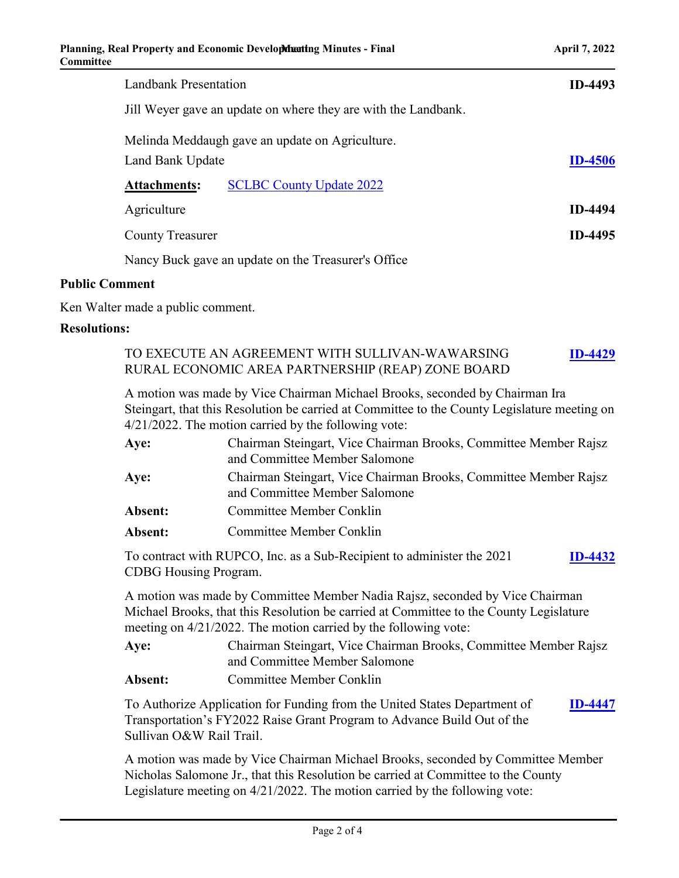| Landbank Presentation                                               | <b>ID-4493</b> |
|---------------------------------------------------------------------|----------------|
| Jill Weyer gave an update on where they are with the Landbank.      |                |
| Melinda Meddaugh gave an update on Agriculture.<br>Land Bank Update | <b>ID-4506</b> |
| <b>SCLBC County Update 2022</b><br><b>Attachments:</b>              |                |
| Agriculture                                                         | <b>ID-4494</b> |
| <b>County Treasurer</b>                                             | <b>ID-4495</b> |
| Nancy Buck gave an update on the Treasurer's Office                 |                |

#### **Public Comment**

Ken Walter made a public comment.

### **Resolutions:**

|         | TO EXECUTE AN AGREEMENT WITH SULLIVAN-WAWARSING                                              |
|---------|----------------------------------------------------------------------------------------------|
|         | RURAL ECONOMIC AREA PARTNERSHIP (REAP) ZONE BOARD                                            |
|         | A motion was made by Vice Chairman Michael Brooks, seconded by Chairman Ira                  |
|         | Steingart, that this Resolution be carried at Committee to the County Legislature meeting on |
|         | $4/21/2022$ . The motion carried by the following vote:                                      |
| Aye:    | Chairman Steingart, Vice Chairman Brooks, Committee Member Rajsz                             |
|         | and Committee Member Salomone                                                                |
| Aye:    | Chairman Steingart, Vice Chairman Brooks, Committee Member Rajsz                             |
|         | and Committee Member Salomone                                                                |
| Absent: | <b>Committee Member Conklin</b>                                                              |
| Absent: | <b>Committee Member Conklin</b>                                                              |
|         |                                                                                              |

To contract with RUPCO, Inc. as a Sub-Recipient to administer the 2021 CDBG Housing Program. **[ID-4432](http://sullivancountyny.legistar.com/gateway.aspx?m=l&id=/matter.aspx?key=1458)**

A motion was made by Committee Member Nadia Rajsz, seconded by Vice Chairman Michael Brooks, that this Resolution be carried at Committee to the County Legislature meeting on 4/21/2022. The motion carried by the following vote:

| Aye:    | Chairman Steingart, Vice Chairman Brooks, Committee Member Rajsz |
|---------|------------------------------------------------------------------|
|         | and Committee Member Salomone                                    |
| Absent: | Committee Member Conklin                                         |

To Authorize Application for Funding from the United States Department of Transportation's FY2022 Raise Grant Program to Advance Build Out of the Sullivan O&W Rail Trail. **[ID-4447](http://sullivancountyny.legistar.com/gateway.aspx?m=l&id=/matter.aspx?key=1473)**

A motion was made by Vice Chairman Michael Brooks, seconded by Committee Member Nicholas Salomone Jr., that this Resolution be carried at Committee to the County Legislature meeting on 4/21/2022. The motion carried by the following vote: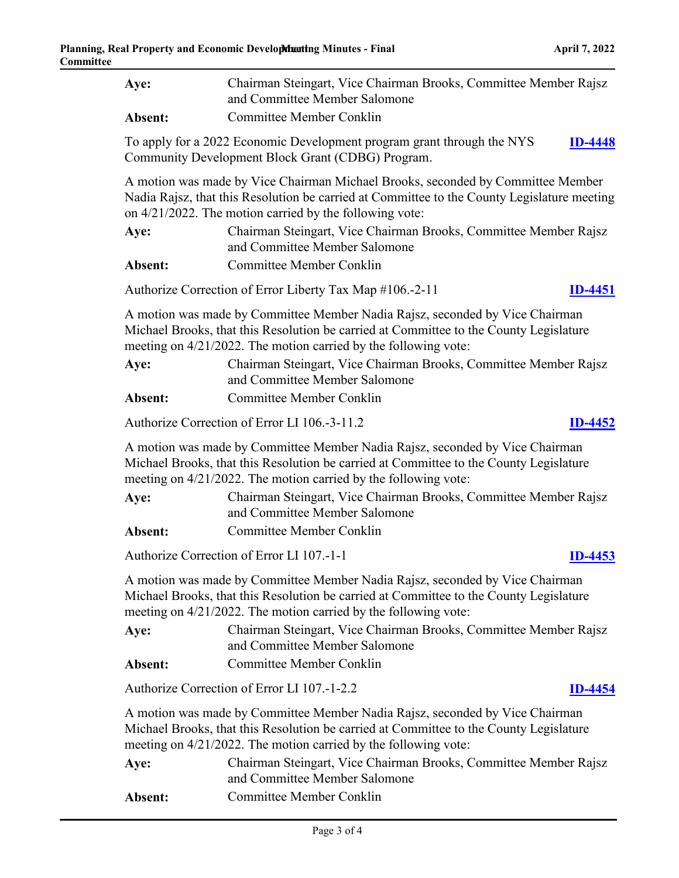| Aye:                                                                                                                                                                                                                                         | Chairman Steingart, Vice Chairman Brooks, Committee Member Rajsz<br>and Committee Member Salomone |  |  |  |
|----------------------------------------------------------------------------------------------------------------------------------------------------------------------------------------------------------------------------------------------|---------------------------------------------------------------------------------------------------|--|--|--|
| Absent:                                                                                                                                                                                                                                      | <b>Committee Member Conklin</b>                                                                   |  |  |  |
| To apply for a 2022 Economic Development program grant through the NYS<br><b>ID-4448</b><br>Community Development Block Grant (CDBG) Program.                                                                                                |                                                                                                   |  |  |  |
| A motion was made by Vice Chairman Michael Brooks, seconded by Committee Member<br>Nadia Rajsz, that this Resolution be carried at Committee to the County Legislature meeting<br>on $4/21/2022$ . The motion carried by the following vote: |                                                                                                   |  |  |  |
| Aye:                                                                                                                                                                                                                                         | Chairman Steingart, Vice Chairman Brooks, Committee Member Rajsz<br>and Committee Member Salomone |  |  |  |
| Absent:                                                                                                                                                                                                                                      | <b>Committee Member Conklin</b>                                                                   |  |  |  |
|                                                                                                                                                                                                                                              | Authorize Correction of Error Liberty Tax Map #106.-2-11<br><b>ID-4451</b>                        |  |  |  |
| A motion was made by Committee Member Nadia Rajsz, seconded by Vice Chairman<br>Michael Brooks, that this Resolution be carried at Committee to the County Legislature<br>meeting on 4/21/2022. The motion carried by the following vote:    |                                                                                                   |  |  |  |
| Aye:                                                                                                                                                                                                                                         | Chairman Steingart, Vice Chairman Brooks, Committee Member Rajsz<br>and Committee Member Salomone |  |  |  |
| Absent:                                                                                                                                                                                                                                      | <b>Committee Member Conklin</b>                                                                   |  |  |  |
|                                                                                                                                                                                                                                              | Authorize Correction of Error LI 106.-3-11.2<br><b>ID-4452</b>                                    |  |  |  |
| A motion was made by Committee Member Nadia Rajsz, seconded by Vice Chairman<br>Michael Brooks, that this Resolution be carried at Committee to the County Legislature<br>meeting on 4/21/2022. The motion carried by the following vote:    |                                                                                                   |  |  |  |
| Aye:                                                                                                                                                                                                                                         | Chairman Steingart, Vice Chairman Brooks, Committee Member Rajsz<br>and Committee Member Salomone |  |  |  |
| Absent:                                                                                                                                                                                                                                      | <b>Committee Member Conklin</b>                                                                   |  |  |  |
|                                                                                                                                                                                                                                              | Authorize Correction of Error LI 107.-1-1<br>$ID-4453$                                            |  |  |  |
| A motion was made by Committee Member Nadia Rajsz, seconded by Vice Chairman<br>Michael Brooks, that this Resolution be carried at Committee to the County Legislature<br>meeting on 4/21/2022. The motion carried by the following vote:    |                                                                                                   |  |  |  |
| Aye:                                                                                                                                                                                                                                         | Chairman Steingart, Vice Chairman Brooks, Committee Member Rajsz<br>and Committee Member Salomone |  |  |  |
| Absent:                                                                                                                                                                                                                                      | <b>Committee Member Conklin</b>                                                                   |  |  |  |
| Authorize Correction of Error LI 107.-1-2.2<br><b>ID-4454</b>                                                                                                                                                                                |                                                                                                   |  |  |  |
| A motion was made by Committee Member Nadia Rajsz, seconded by Vice Chairman<br>Michael Brooks, that this Resolution be carried at Committee to the County Legislature<br>meeting on 4/21/2022. The motion carried by the following vote:    |                                                                                                   |  |  |  |
| Aye:                                                                                                                                                                                                                                         | Chairman Steingart, Vice Chairman Brooks, Committee Member Rajsz<br>and Committee Member Salomone |  |  |  |

Absent: Committee Member Conklin